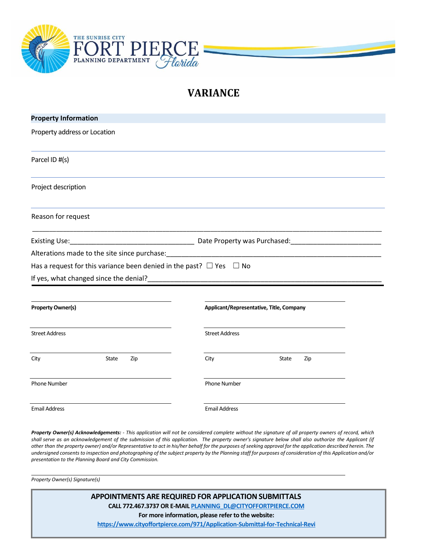

## **VARIANCE**

| <b>Property Information</b>                                                                                                                                |                                                                                                                  |
|------------------------------------------------------------------------------------------------------------------------------------------------------------|------------------------------------------------------------------------------------------------------------------|
| Property address or Location                                                                                                                               |                                                                                                                  |
| Parcel ID #(s)                                                                                                                                             |                                                                                                                  |
| Project description                                                                                                                                        |                                                                                                                  |
| Reason for request                                                                                                                                         |                                                                                                                  |
|                                                                                                                                                            | Existing Use: 1990 Marchael Communication Control Date Property was Purchased: 1991 Marchael Marchael Marchael M |
|                                                                                                                                                            |                                                                                                                  |
|                                                                                                                                                            |                                                                                                                  |
|                                                                                                                                                            |                                                                                                                  |
|                                                                                                                                                            |                                                                                                                  |
|                                                                                                                                                            |                                                                                                                  |
|                                                                                                                                                            | Applicant/Representative, Title, Company                                                                         |
|                                                                                                                                                            | <b>Street Address</b>                                                                                            |
| Has a request for this variance been denied in the past? $\Box$ Yes $\Box$ No<br><b>Property Owner(s)</b><br><b>Street Address</b><br>City<br>State<br>Zip | City<br>State<br>Zip                                                                                             |
| <b>Phone Number</b>                                                                                                                                        | Phone Number                                                                                                     |

Property Owner(s) Acknowledgements: - This application will not be considered complete without the signature of all property owners of record, which shall serve as an acknowledgement of the submission of this application. The property owner's signature below shall also authorize the Applicant (if other than the property owner) and/or Representative to act in his/her behalf for the purposes of seeking approval for the application described herein. The *undersigned consents to inspection and photographing of the subject property by the Planning staff for purposes of consideration of this Application and/or presentation to the Planning Board and City Commission.*

*Property Owner(s) Signature(s)*

**APPOINTMENTS ARE REQUIRED FOR APPLICATION SUBMITTALS CALL 772.467.3737 OR E-MAI[L PLANNING\\_DL@CITYOFFORTPIERCE.COM](mailto:PLANNING_DL@CITYOFFORTPIERCE.COM) For more information, please refer to the website: <https://www.cityoffortpierce.com/971/Application-Submittal-for-Technical-Revi>**